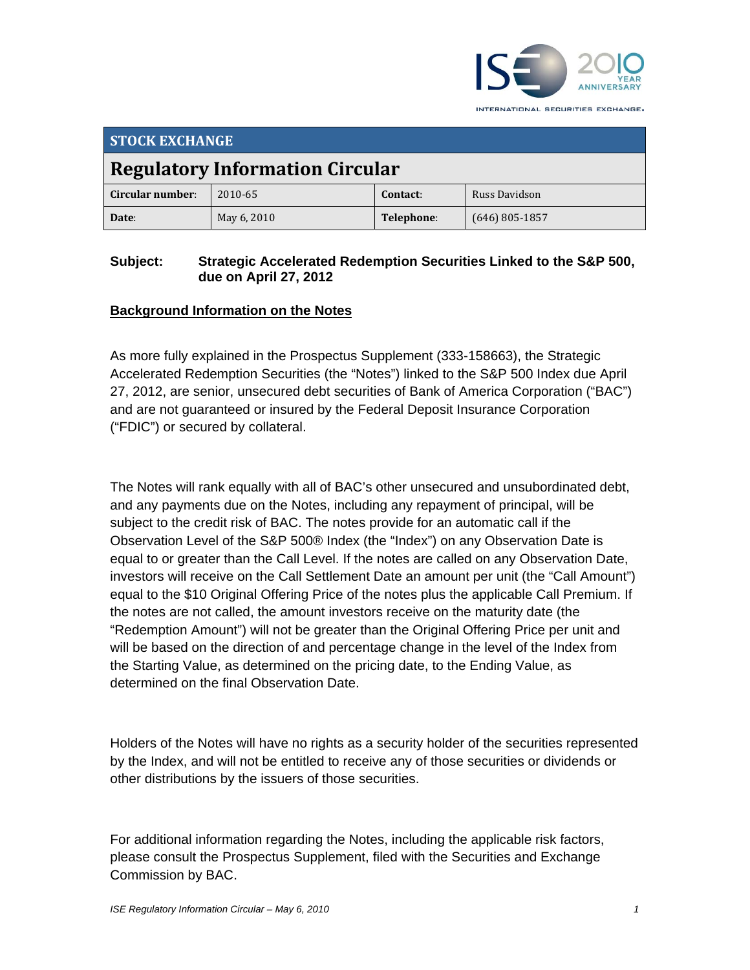

INTERNATIONAL SECURITIES EXCHANGE.

| <b>STOCK EXCHANGE</b>                  |             |            |                  |  |
|----------------------------------------|-------------|------------|------------------|--|
| <b>Regulatory Information Circular</b> |             |            |                  |  |
| Circular number:                       | 2010-65     | Contact:   | Russ Davidson    |  |
| Date:                                  | May 6, 2010 | Telephone: | $(646)$ 805-1857 |  |

### **Subject: Strategic Accelerated Redemption Securities Linked to the S&P 500, due on April 27, 2012**

# **Background Information on the Notes**

As more fully explained in the Prospectus Supplement (333-158663), the Strategic Accelerated Redemption Securities (the "Notes") linked to the S&P 500 Index due April 27, 2012, are senior, unsecured debt securities of Bank of America Corporation ("BAC") and are not guaranteed or insured by the Federal Deposit Insurance Corporation ("FDIC") or secured by collateral.

The Notes will rank equally with all of BAC's other unsecured and unsubordinated debt, and any payments due on the Notes, including any repayment of principal, will be subject to the credit risk of BAC. The notes provide for an automatic call if the Observation Level of the S&P 500® Index (the "Index") on any Observation Date is equal to or greater than the Call Level. If the notes are called on any Observation Date, investors will receive on the Call Settlement Date an amount per unit (the "Call Amount") equal to the \$10 Original Offering Price of the notes plus the applicable Call Premium. If the notes are not called, the amount investors receive on the maturity date (the "Redemption Amount") will not be greater than the Original Offering Price per unit and will be based on the direction of and percentage change in the level of the Index from the Starting Value, as determined on the pricing date, to the Ending Value, as determined on the final Observation Date.

Holders of the Notes will have no rights as a security holder of the securities represented by the Index, and will not be entitled to receive any of those securities or dividends or other distributions by the issuers of those securities.

For additional information regarding the Notes, including the applicable risk factors, please consult the Prospectus Supplement, filed with the Securities and Exchange Commission by BAC.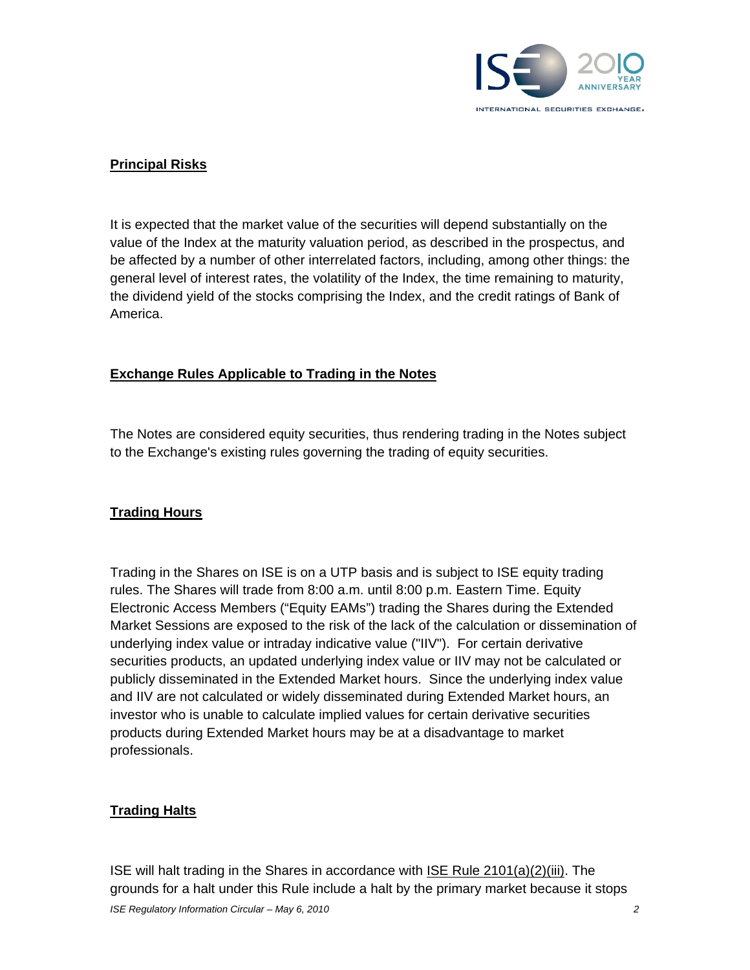

## **Principal Risks**

It is expected that the market value of the securities will depend substantially on the value of the Index at the maturity valuation period, as described in the prospectus, and be affected by a number of other interrelated factors, including, among other things: the general level of interest rates, the volatility of the Index, the time remaining to maturity, the dividend yield of the stocks comprising the Index, and the credit ratings of Bank of America.

#### **Exchange Rules Applicable to Trading in the Notes**

The Notes are considered equity securities, thus rendering trading in the Notes subject to the Exchange's existing rules governing the trading of equity securities.

#### **Trading Hours**

Trading in the Shares on ISE is on a UTP basis and is subject to ISE equity trading rules. The Shares will trade from 8:00 a.m. until 8:00 p.m. Eastern Time. Equity Electronic Access Members ("Equity EAMs") trading the Shares during the Extended Market Sessions are exposed to the risk of the lack of the calculation or dissemination of underlying index value or intraday indicative value ("IIV"). For certain derivative securities products, an updated underlying index value or IIV may not be calculated or publicly disseminated in the Extended Market hours. Since the underlying index value and IIV are not calculated or widely disseminated during Extended Market hours, an investor who is unable to calculate implied values for certain derivative securities products during Extended Market hours may be at a disadvantage to market professionals.

#### **Trading Halts**

ISE will halt trading in the Shares in accordance with ISE Rule 2101(a)(2)(iii). The grounds for a halt under this Rule include a halt by the primary market because it stops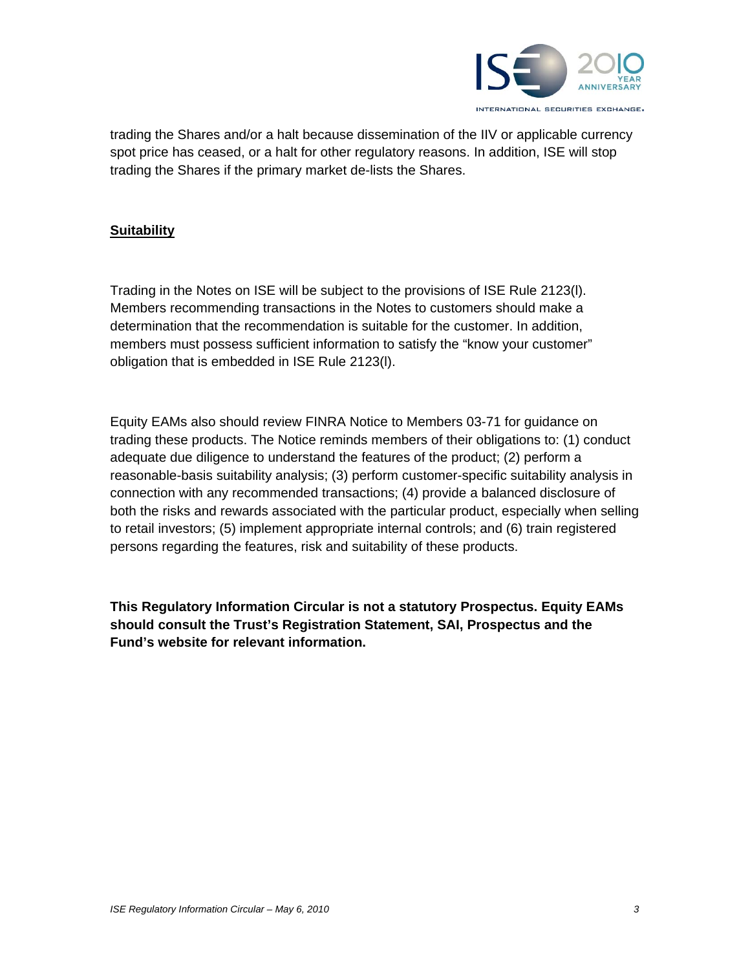

trading the Shares and/or a halt because dissemination of the IIV or applicable currency spot price has ceased, or a halt for other regulatory reasons. In addition, ISE will stop trading the Shares if the primary market de-lists the Shares.

### **Suitability**

Trading in the Notes on ISE will be subject to the provisions of ISE Rule 2123(l). Members recommending transactions in the Notes to customers should make a determination that the recommendation is suitable for the customer. In addition, members must possess sufficient information to satisfy the "know your customer" obligation that is embedded in ISE Rule 2123(l).

Equity EAMs also should review FINRA Notice to Members 03-71 for guidance on trading these products. The Notice reminds members of their obligations to: (1) conduct adequate due diligence to understand the features of the product; (2) perform a reasonable-basis suitability analysis; (3) perform customer-specific suitability analysis in connection with any recommended transactions; (4) provide a balanced disclosure of both the risks and rewards associated with the particular product, especially when selling to retail investors; (5) implement appropriate internal controls; and (6) train registered persons regarding the features, risk and suitability of these products.

**This Regulatory Information Circular is not a statutory Prospectus. Equity EAMs should consult the Trust's Registration Statement, SAI, Prospectus and the Fund's website for relevant information.**